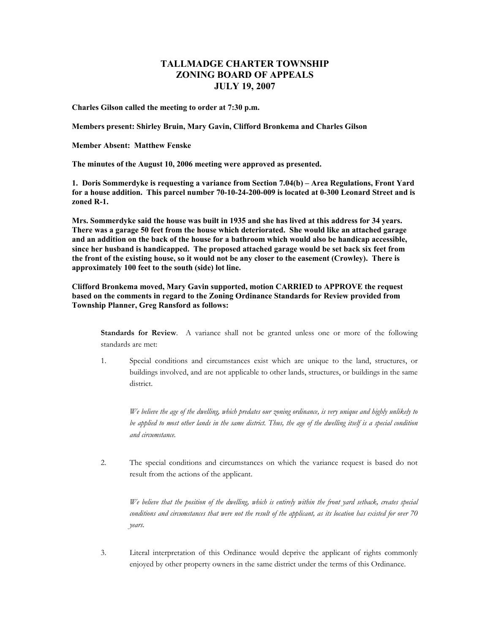## **TALLMADGE CHARTER TOWNSHIP ZONING BOARD OF APPEALS JULY 19, 2007**

**Charles Gilson called the meeting to order at 7:30 p.m.** 

**Members present: Shirley Bruin, Mary Gavin, Clifford Bronkema and Charles Gilson** 

**Member Absent: Matthew Fenske** 

**The minutes of the August 10, 2006 meeting were approved as presented.** 

**1. Doris Sommerdyke is requesting a variance from Section 7.04(b) – Area Regulations, Front Yard for a house addition. This parcel number 70-10-24-200-009 is located at 0-300 Leonard Street and is zoned R-1.** 

**Mrs. Sommerdyke said the house was built in 1935 and she has lived at this address for 34 years. There was a garage 50 feet from the house which deteriorated. She would like an attached garage and an addition on the back of the house for a bathroom which would also be handicap accessible, since her husband is handicapped. The proposed attached garage would be set back six feet from the front of the existing house, so it would not be any closer to the easement (Crowley). There is approximately 100 feet to the south (side) lot line.** 

**Clifford Bronkema moved, Mary Gavin supported, motion CARRIED to APPROVE the request based on the comments in regard to the Zoning Ordinance Standards for Review provided from Township Planner, Greg Ransford as follows:** 

**Standards for Review**. A variance shall not be granted unless one or more of the following standards are met:

1. Special conditions and circumstances exist which are unique to the land, structures, or buildings involved, and are not applicable to other lands, structures, or buildings in the same district.

*We believe the age of the dwelling, which predates our zoning ordinance, is very unique and highly unlikely to be applied to most other lands in the same district. Thus, the age of the dwelling itself is a special condition and circumstance.* 

2. The special conditions and circumstances on which the variance request is based do not result from the actions of the applicant.

*We believe that the position of the dwelling, which is entirely within the front yard setback, creates special conditions and circumstances that were not the result of the applicant, as its location has existed for over 70 years.* 

3. Literal interpretation of this Ordinance would deprive the applicant of rights commonly enjoyed by other property owners in the same district under the terms of this Ordinance.